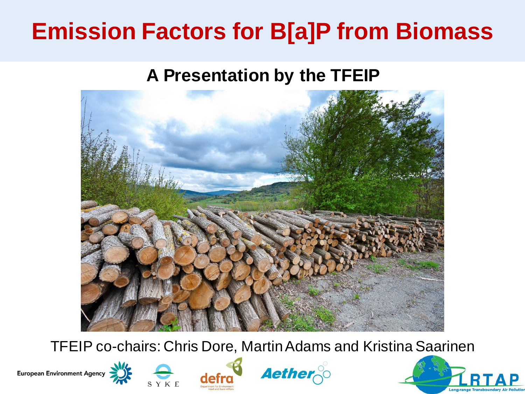## **Emission Factors for B[a]P from Biomass**

#### **A Presentation by the TFEIP**



TFEIP co-chairs: Chris Dore, Martin Adams and Kristina Saarinen









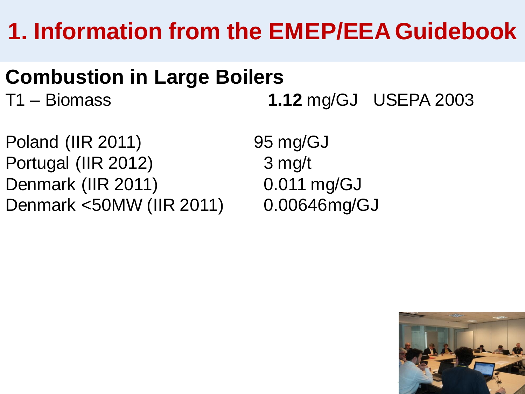# **1. Information from the EMEP/EEA Guidebook**

## **Combustion in Large Boilers**

T1 – Biomass **1.12** mg/GJ USEPA 2003

Poland (IIR 2011) 95 mg/GJ Portugal (IIR 2012) 3 mg/t Denmark (IIR 2011) 0.011 mg/GJ Denmark <50MW (IIR 2011) 0.00646mg/GJ

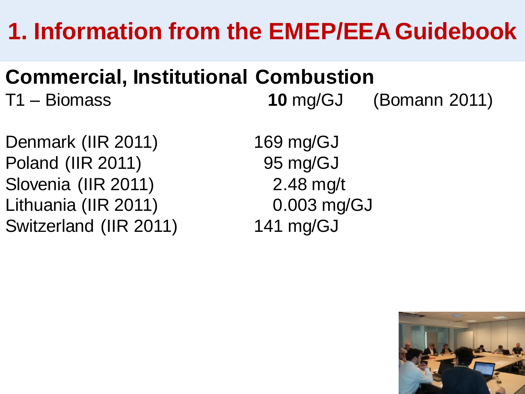# **1. Information from the EMEP/EEA Guidebook**

## **Commercial, Institutional Combustion**

T1 – Biomass **10** mg/GJ (Bomann 2011)

Denmark (IIR 2011) 169 mg/GJ Poland (IIR 2011) 95 mg/GJ Slovenia (IIR 2011) 2.48 mg/t Lithuania (IIR 2011) 0.003 mg/GJ Switzerland (IIR 2011) 141 mg/GJ

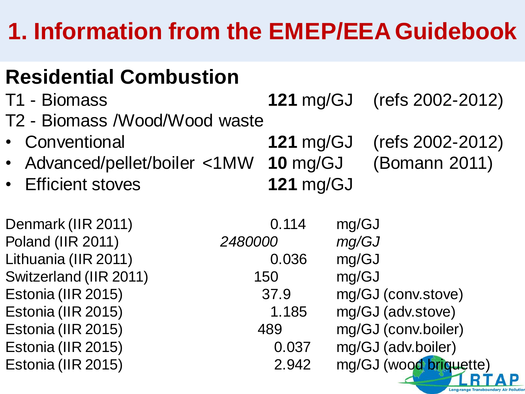# **1. Information from the EMEP/EEA Guidebook**

## **Residential Combustion**

| T1 - Biomass                           |         | <b>121 mg/GJ</b> |       | (refs 2002-2012)       |
|----------------------------------------|---------|------------------|-------|------------------------|
| T2 - Biomass /Wood/Wood waste          |         |                  |       |                        |
| • Conventional                         |         | 121 $mg/GJ$      |       | (refs 2002-2012)       |
| • Advanced/pellet/boiler <1MW 10 mg/GJ |         |                  |       | (Bomann 2011)          |
| • Efficient stoves                     |         | <b>121 mg/GJ</b> |       |                        |
| Denmark (IIR 2011)                     |         | 0.114            | mg/GJ |                        |
| Poland (IIR 2011)                      | 2480000 |                  | mg/GJ |                        |
| Lithuania (IIR 2011)                   |         | 0.036            | mg/GJ |                        |
| Switzerland (IIR 2011)                 |         | 150              | mg/GJ |                        |
| Estonia (IIR 2015)                     |         | 37.9             |       | mg/GJ (conv.stove)     |
| Estonia (IIR 2015)                     |         | 1.185            |       | mg/GJ (adv.stove)      |
| Estonia (IIR 2015)                     |         | 489              |       | mg/GJ (conv.boiler)    |
| Estonia (IIR 2015)                     |         | 0.037            |       | mg/GJ (adv.boiler)     |
| Estonia (IIR 2015)                     |         | 2.942            |       | mg/GJ (wood briquette) |